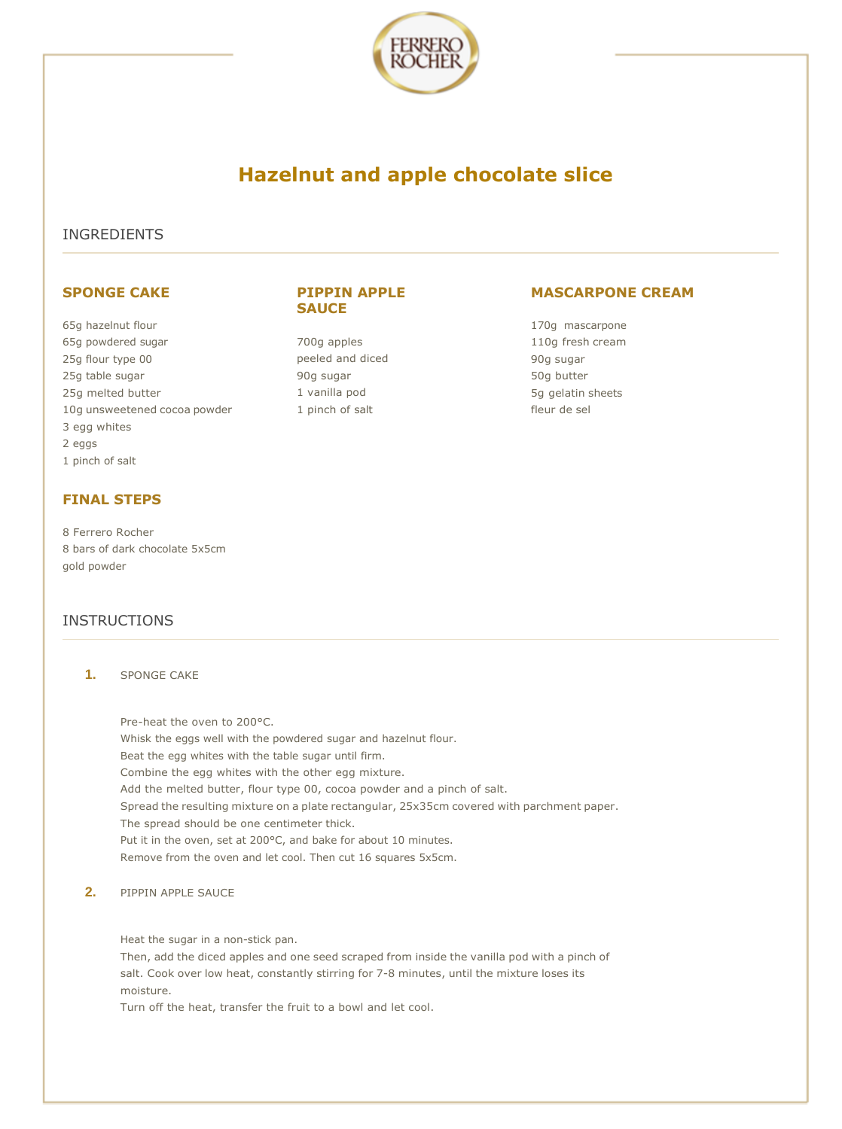

# **Hazelnut and apple chocolate slice**

**PIPPIN APPLE** 

**SAUCE**

700g apples peeled and diced

90g sugar 1 vanilla pod 1 pinch of salt

### INGREDIENTS

### **SPONGE CAKE**

65g hazelnut flour 65g powdered sugar 25g flour type 00 25g table sugar 25g melted butter 10g unsweetened cocoa powder 3 egg whites 2 eggs 1 pinch of salt

## **FINAL STEPS**

8 Ferrero Rocher 8 bars of dark chocolate 5x5cm gold powder

## INSTRUCTIONS

**1.** SPONGE CAKE

Pre-heat the oven to 200°C. Whisk the eggs well with the powdered sugar and hazelnut flour. Beat the egg whites with the table sugar until firm. Combine the egg whites with the other egg mixture. Add the melted butter, flour type 00, cocoa powder and a pinch of salt. Spread the resulting mixture on a plate rectangular, 25x35cm covered with parchment paper. The spread should be one centimeter thick. Put it in the oven, set at 200°C, and bake for about 10 minutes. Remove from the oven and let cool. Then cut 16 squares 5x5cm.

**2.** PIPPIN APPLE SAUCE

Heat the sugar in a non-stick pan.

Then, add the diced apples and one seed scraped from inside the vanilla pod with a pinch of salt. Cook over low heat, constantly stirring for 7-8 minutes, until the mixture loses its moisture.

Turn off the heat, transfer the fruit to a bowl and let cool.

# **MASCARPONE CREAM**

170g mascarpone 110g fresh cream 90g sugar 50g butter 5g gelatin sheets fleur de sel